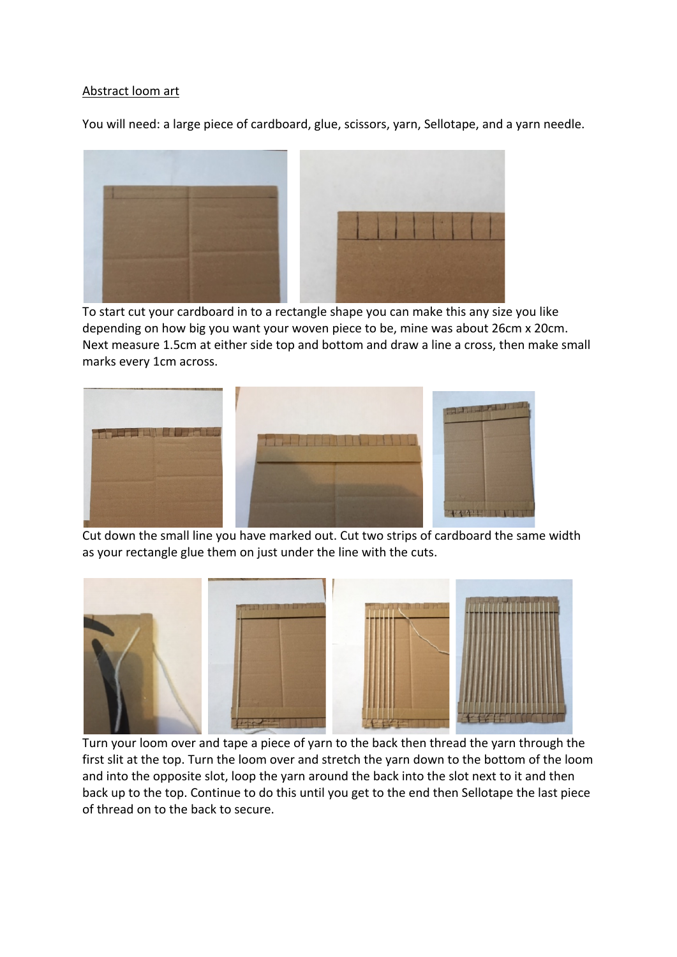## Abstract loom art

You will need: a large piece of cardboard, glue, scissors, yarn, Sellotape, and a yarn needle.



 To start cut your cardboard in to a rectangle shape you can make this any size you like depending on how big you want your woven piece to be, mine was about 26cm x 20cm. Next measure 1.5cm at either side top and bottom and draw a line a cross, then make small marks every 1cm across.



 Cut down the small line you have marked out. Cut two strips of cardboard the same width as your rectangle glue them on just under the line with the cuts.



 Turn your loom over and tape a piece of yarn to the back then thread the yarn through the first slit at the top. Turn the loom over and stretch the yarn down to the bottom of the loom and into the opposite slot, loop the yarn around the back into the slot next to it and then back up to the top. Continue to do this until you get to the end then Sellotape the last piece of thread on to the back to secure.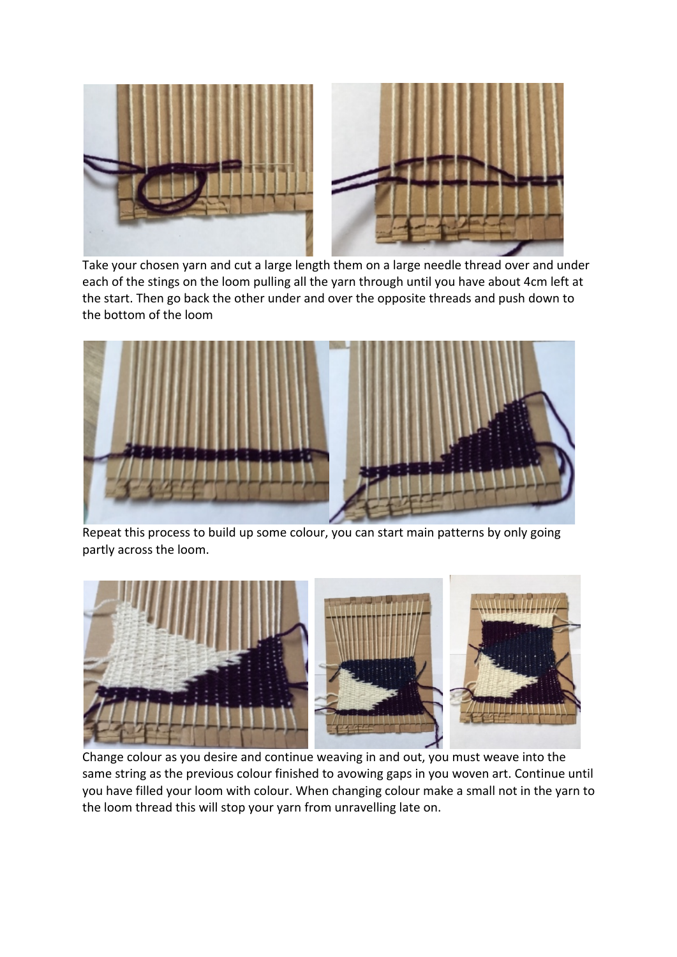

 Take your chosen yarn and cut a large length them on a large needle thread over and under each of the stings on the loom pulling all the yarn through until you have about 4cm left at the start. Then go back the other under and over the opposite threads and push down to the bottom of the loom



Repeat this process to build up some colour, you can start main patterns by only going partly across the loom.



 Change colour as you desire and continue weaving in and out, you must weave into the same string as the previous colour finished to avowing gaps in you woven art. Continue until you have filled your loom with colour. When changing colour make a small not in the yarn to the loom thread this will stop your yarn from unravelling late on.